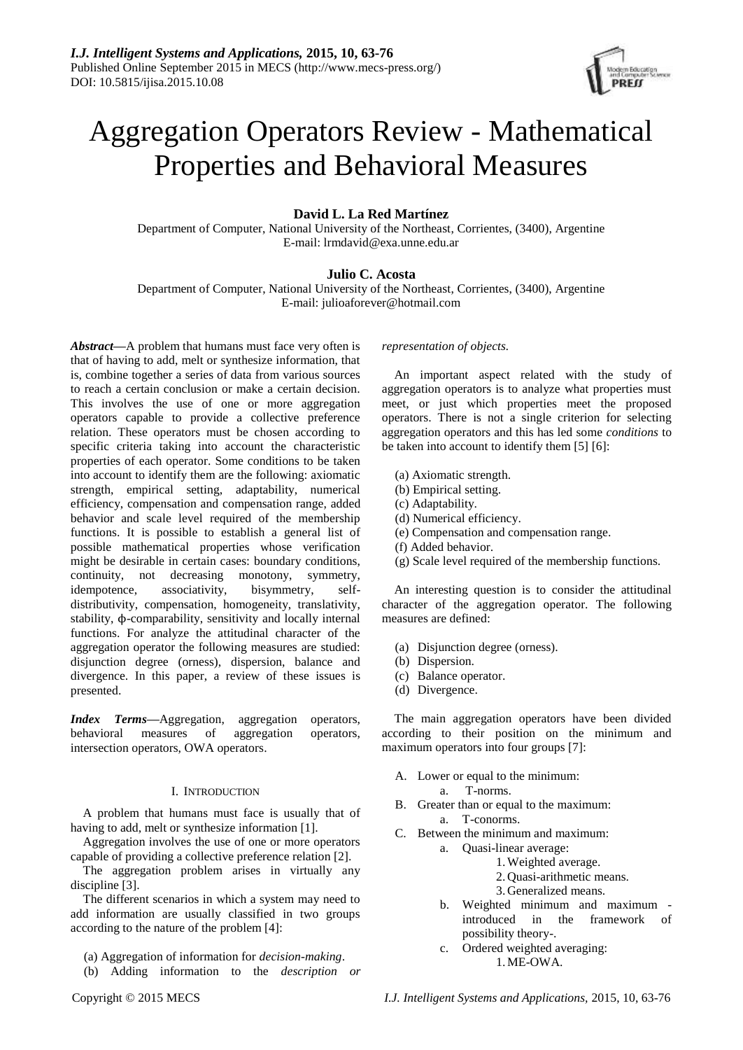# Aggregation Operators Review - Mathematical Properties and Behavioral Measures

# **David L. La Red Martínez**

Department of Computer, National University of the Northeast, Corrientes, (3400), Argentine E-mail: lrmdavid@exa.unne.edu.ar

# **Julio C. Acosta**

Department of Computer, National University of the Northeast, Corrientes, (3400), Argentine E-mail: julioaforever@hotmail.com

*Abstract***—**A problem that humans must face very often is that of having to add, melt or synthesize information, that is, combine together a series of data from various sources to reach a certain conclusion or make a certain decision. This involves the use of one or more aggregation operators capable to provide a collective preference relation. These operators must be chosen according to specific criteria taking into account the characteristic properties of each operator. Some conditions to be taken into account to identify them are the following: axiomatic strength, empirical setting, adaptability, numerical efficiency, compensation and compensation range, added behavior and scale level required of the membership functions. It is possible to establish a general list of possible mathematical properties whose verification might be desirable in certain cases: boundary conditions, continuity, not decreasing monotony, symmetry, idempotence, associativity, bisymmetry, selfdistributivity, compensation, homogeneity, translativity, stability, ϕ-comparability, sensitivity and locally internal functions. For analyze the attitudinal character of the aggregation operator the following measures are studied: disjunction degree (orness), dispersion, balance and divergence. In this paper, a review of these issues is presented.

*Index Terms***—**Aggregation, aggregation operators, behavioral measures of aggregation operators, intersection operators, OWA operators.

# I. INTRODUCTION

A problem that humans must face is usually that of having to add, melt or synthesize information [1].

Aggregation involves the use of one or more operators capable of providing a collective preference relation [2].

The aggregation problem arises in virtually any discipline [3].

The different scenarios in which a system may need to add information are usually classified in two groups according to the nature of the problem [4]:

(a) Aggregation of information for *decision-making*.

(b) Adding information to the *description or* 

# *representation of objects.*

An important aspect related with the study of aggregation operators is to analyze what properties must meet, or just which properties meet the proposed operators. There is not a single criterion for selecting aggregation operators and this has led some *conditions* to be taken into account to identify them [5] [6]:

- (a) Axiomatic strength.
- (b) Empirical setting.
- (c) Adaptability.
- (d) Numerical efficiency.
- (e) Compensation and compensation range.
- (f) Added behavior.
- (g) Scale level required of the membership functions.

An interesting question is to consider the attitudinal character of the aggregation operator. The following measures are defined:

- (a) Disjunction degree (orness).
- (b) Dispersion.
- (c) Balance operator.
- (d) Divergence.

The main aggregation operators have been divided according to their position on the minimum and maximum operators into four groups [7]:

- A. Lower or equal to the minimum:
	- a. T-norms.
- B. Greater than or equal to the maximum: a. T-conorms.
- C. Between the minimum and maximum: a. Quasi-linear average:
	- 1.Weighted average.
	- 2. Quasi-arithmetic means.
	- 3. Generalized means.
	- b. Weighted minimum and maximum introduced in the framework of possibility theory-.
	- c. Ordered weighted averaging: 1. ME-OWA.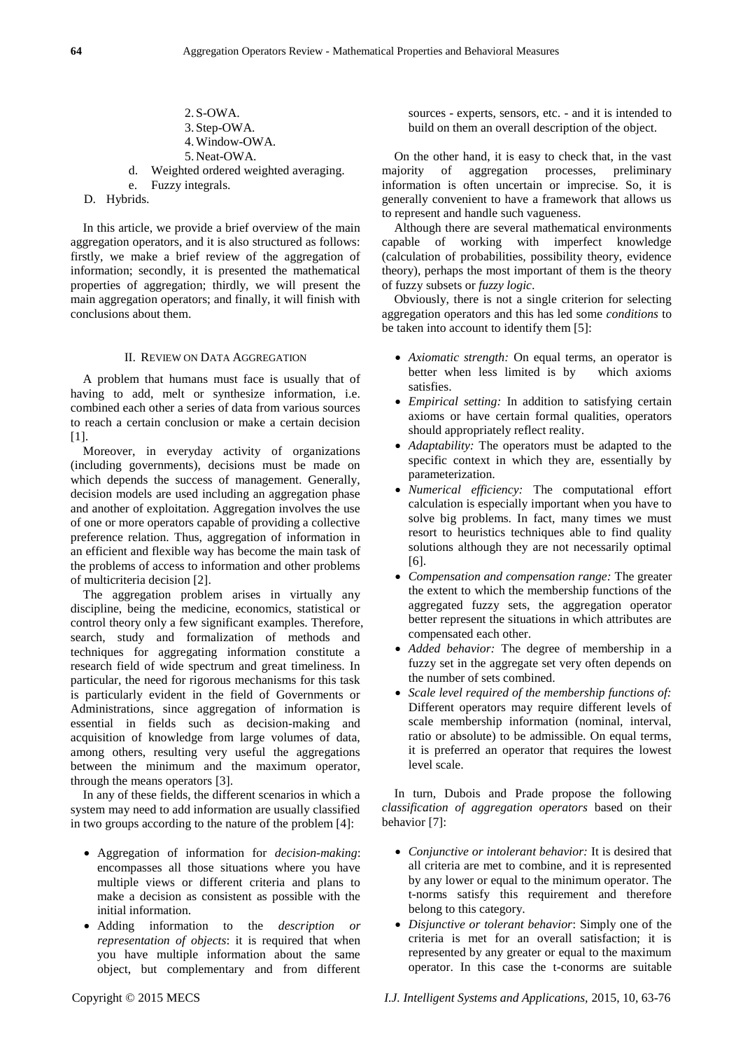2. S-OWA. 3. Step-OWA. 4.Window-OWA. 5. Neat-OWA. d. Weighted ordered weighted averaging.

- e. Fuzzy integrals. D. Hybrids.
- 

In this article, we provide a brief overview of the main aggregation operators, and it is also structured as follows: firstly, we make a brief review of the aggregation of information; secondly, it is presented the mathematical properties of aggregation; thirdly, we will present the main aggregation operators; and finally, it will finish with conclusions about them.

# II. REVIEW ON DATA AGGREGATION

A problem that humans must face is usually that of having to add, melt or synthesize information, i.e. combined each other a series of data from various sources to reach a certain conclusion or make a certain decision [1].

Moreover, in everyday activity of organizations (including governments), decisions must be made on which depends the success of management. Generally, decision models are used including an aggregation phase and another of exploitation. Aggregation involves the use of one or more operators capable of providing a collective preference relation. Thus, aggregation of information in an efficient and flexible way has become the main task of the problems of access to information and other problems of multicriteria decision [2].

The aggregation problem arises in virtually any discipline, being the medicine, economics, statistical or control theory only a few significant examples. Therefore, search, study and formalization of methods and techniques for aggregating information constitute a research field of wide spectrum and great timeliness. In particular, the need for rigorous mechanisms for this task is particularly evident in the field of Governments or Administrations, since aggregation of information is essential in fields such as decision-making and acquisition of knowledge from large volumes of data, among others, resulting very useful the aggregations between the minimum and the maximum operator, through the means operators [3].

In any of these fields, the different scenarios in which a system may need to add information are usually classified in two groups according to the nature of the problem [4]:

- Aggregation of information for *decision-making*: encompasses all those situations where you have multiple views or different criteria and plans to make a decision as consistent as possible with the initial information.
- Adding information to the *description or representation of objects*: it is required that when you have multiple information about the same object, but complementary and from different

sources - experts, sensors, etc. - and it is intended to build on them an overall description of the object.

On the other hand, it is easy to check that, in the vast majority of aggregation processes, preliminary information is often uncertain or imprecise. So, it is generally convenient to have a framework that allows us to represent and handle such vagueness.

Although there are several mathematical environments capable of working with imperfect knowledge (calculation of probabilities, possibility theory, evidence theory), perhaps the most important of them is the theory of fuzzy subsets or *fuzzy logic*.

Obviously, there is not a single criterion for selecting aggregation operators and this has led some *conditions* to be taken into account to identify them [5]:

- *Axiomatic strength:* On equal terms, an operator is better when less limited is by which axioms satisfies.
- *Empirical setting:* In addition to satisfying certain axioms or have certain formal qualities, operators should appropriately reflect reality.
- *Adaptability:* The operators must be adapted to the specific context in which they are, essentially by parameterization.
- *Numerical efficiency:* The computational effort calculation is especially important when you have to solve big problems. In fact, many times we must resort to heuristics techniques able to find quality solutions although they are not necessarily optimal [6].
- *Compensation and compensation range:* The greater the extent to which the membership functions of the aggregated fuzzy sets, the aggregation operator better represent the situations in which attributes are compensated each other.
- *Added behavior:* The degree of membership in a fuzzy set in the aggregate set very often depends on the number of sets combined.
- *Scale level required of the membership functions of:*  Different operators may require different levels of scale membership information (nominal, interval, ratio or absolute) to be admissible. On equal terms, it is preferred an operator that requires the lowest level scale.

In turn, Dubois and Prade propose the following *classification of aggregation operators* based on their behavior [7]:

- *Conjunctive or intolerant behavior:* It is desired that all criteria are met to combine, and it is represented by any lower or equal to the minimum operator. The t-norms satisfy this requirement and therefore belong to this category.
- *Disjunctive or tolerant behavior*: Simply one of the criteria is met for an overall satisfaction; it is represented by any greater or equal to the maximum operator. In this case the t-conorms are suitable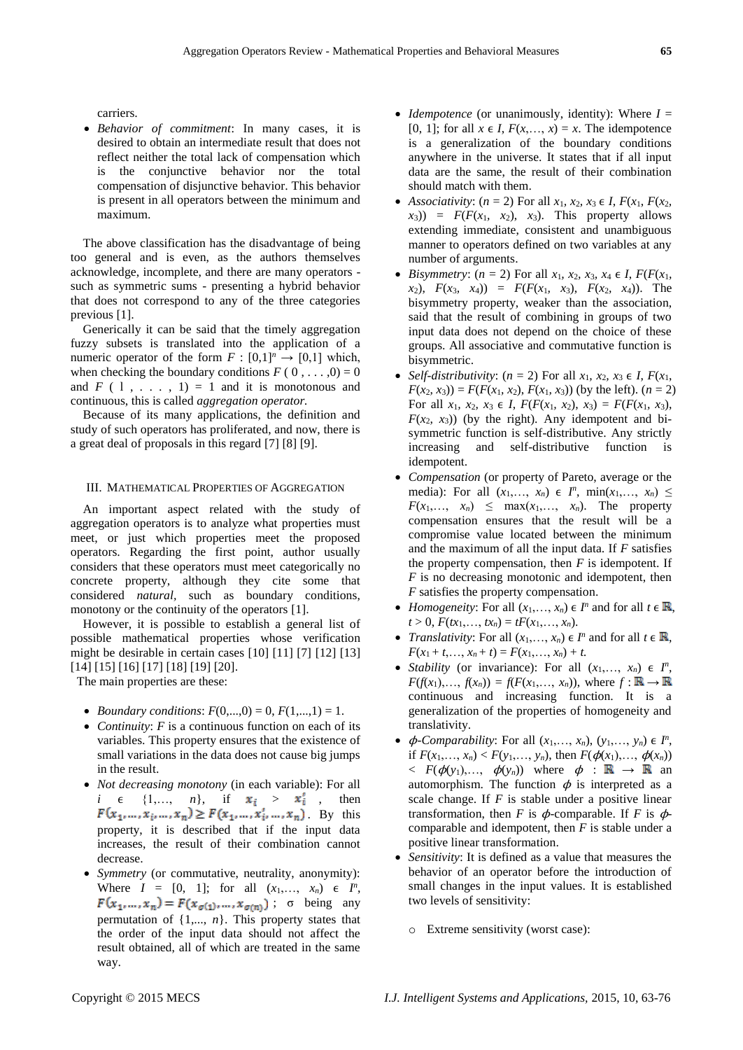carriers.

 *Behavior of commitment*: In many cases, it is desired to obtain an intermediate result that does not reflect neither the total lack of compensation which is the conjunctive behavior nor the total compensation of disjunctive behavior. This behavior is present in all operators between the minimum and maximum.

The above classification has the disadvantage of being too general and is even, as the authors themselves acknowledge, incomplete, and there are many operators such as symmetric sums - presenting a hybrid behavior that does not correspond to any of the three categories previous [1].

Generically it can be said that the timely aggregation fuzzy subsets is translated into the application of a numeric operator of the form  $F : [0,1]^n \to [0,1]$  which, when checking the boundary conditions  $F(0, \ldots, 0) = 0$ and  $F$  (1, ..., 1) = 1 and it is monotonous and continuous, this is called *aggregation operator.*

Because of its many applications, the definition and study of such operators has proliferated, and now, there is a great deal of proposals in this regard [7] [8] [9].

### III. MATHEMATICAL PROPERTIES OF AGGREGATION

An important aspect related with the study of aggregation operators is to analyze what properties must meet, or just which properties meet the proposed operators. Regarding the first point, author usually considers that these operators must meet categorically no concrete property, although they cite some that considered *natural,* such as boundary conditions, monotony or the continuity of the operators [1].

However, it is possible to establish a general list of possible mathematical properties whose verification might be desirable in certain cases [10] [11] [7] [12] [13] [14] [15] [16] [17] [18] [19] [20].

The main properties are these:

- *Boundary conditions:*  $F(0,...,0) = 0$ ,  $F(1,...,1) = 1$ .
- *Continuity: F* is a continuous function on each of its variables. This property ensures that the existence of small variations in the data does not cause big jumps in the result.
- *Not decreasing monotony* (in each variable): For all  $i \in \{1, \ldots, n\}, \text{ if } x_i > x'_i, \text{ then}$  $F(x_1, ..., x_i, ..., x_n) \geq F(x_1, ..., x_i', ..., x_n)$ . By this property, it is described that if the input data increases, the result of their combination cannot decrease.
- *Symmetry* (or commutative, neutrality, anonymity): Where  $I = [0, 1]$ ; for all  $(x_1, ..., x_n) \in I^n$ ,  $F(x_1,...,x_n) = F(x_{\sigma(1)},...,x_{\sigma(n)})$ ; σ being any permutation of  $\{1,..., n\}$ . This property states that the order of the input data should not affect the result obtained, all of which are treated in the same way.
- *Idempotence* (or unanimously, identity): Where  $I =$ [0, 1]; for all  $x \in I$ ,  $F(x, \ldots, x) = x$ . The idempotence is a generalization of the boundary conditions anywhere in the universe. It states that if all input data are the same, the result of their combination should match with them.
- *Associativity:*  $(n = 2)$  For all  $x_1, x_2, x_3 \in I$ ,  $F(x_1, F(x_2,$  $(x_3)$ ) =  $F(F(x_1, x_2), x_3)$ . This property allows extending immediate, consistent and unambiguous manner to operators defined on two variables at any number of arguments.
- *Bisymmetry:*  $(n = 2)$  For all  $x_1, x_2, x_3, x_4 \in I$ ,  $F(F(x_1,$  $F(x_3, x_4) = F(F(x_1, x_3), F(x_2, x_4))$ . The bisymmetry property, weaker than the association, said that the result of combining in groups of two input data does not depend on the choice of these groups. All associative and commutative function is bisymmetric.
- *Self-distributivity:*  $(n = 2)$  For all  $x_1, x_2, x_3 \in I$ ,  $F(x_1,$  $F(x_2, x_3) = F(F(x_1, x_2), F(x_1, x_3))$  (by the left).  $(n = 2)$ For all  $x_1, x_2, x_3 \in I$ ,  $F(F(x_1, x_2), x_3) = F(F(x_1, x_3))$ ,  $F(x_2, x_3)$  (by the right). Any idempotent and bisymmetric function is self-distributive. Any strictly increasing and self-distributive function is idempotent.
- *Compensation* (or property of Pareto, average or the media): For all  $(x_1, \ldots, x_n) \in I^n$ ,  $\min(x_1, \ldots, x_n) \leq$  $F(x_1,..., x_n) \leq \max(x_1,..., x_n)$ . The property compensation ensures that the result will be a compromise value located between the minimum and the maximum of all the input data. If *F* satisfies the property compensation, then  $F$  is idempotent. If *F* is no decreasing monotonic and idempotent, then *F* satisfies the property compensation.
- *Homogeneity:* For all  $(x_1, \ldots, x_n) \in I^n$  and for all  $t \in \mathbb{R}$ ,  $t > 0$ ,  $F(tx_1, \ldots, tx_n) = tF(x_1, \ldots, x_n)$ .
- *Translativity:* For all  $(x_1, \ldots, x_n) \in I^n$  and for all  $t \in \mathbb{R}$ ,  $F(x_1 + t, \ldots, x_n + t) = F(x_1, \ldots, x_n) + t.$
- *Stability* (or invariance): For all  $(x_1, \ldots, x_n) \in I^n$ ,  $F(f(x_1),..., f(x_n)) = f(F(x_1,..., x_n))$ , where  $f: \mathbb{R} \to \mathbb{R}$ continuous and increasing function. It is a generalization of the properties of homogeneity and translativity.
- $\bullet$   $\phi$ -*Comparability*: For all  $(x_1, \ldots, x_n)$ ,  $(y_1, \ldots, y_n) \in I^n$ , if  $F(x_1, ..., x_n) < F(y_1, ..., y_n)$ , then  $F(\phi(x_1), ..., \phi(x_n))$  $\lt F(\phi(y_1),..., \phi(y_n))$  where  $\phi : \mathbb{R} \to \mathbb{R}$  and automorphism. The function  $\phi$  is interpreted as a scale change. If *F* is stable under a positive linear transformation, then *F* is  $\phi$ -comparable. If *F* is  $\phi$ comparable and idempotent, then *F* is stable under a positive linear transformation.
- *Sensitivity*: It is defined as a value that measures the behavior of an operator before the introduction of small changes in the input values. It is established two levels of sensitivity:
	- o Extreme sensitivity (worst case):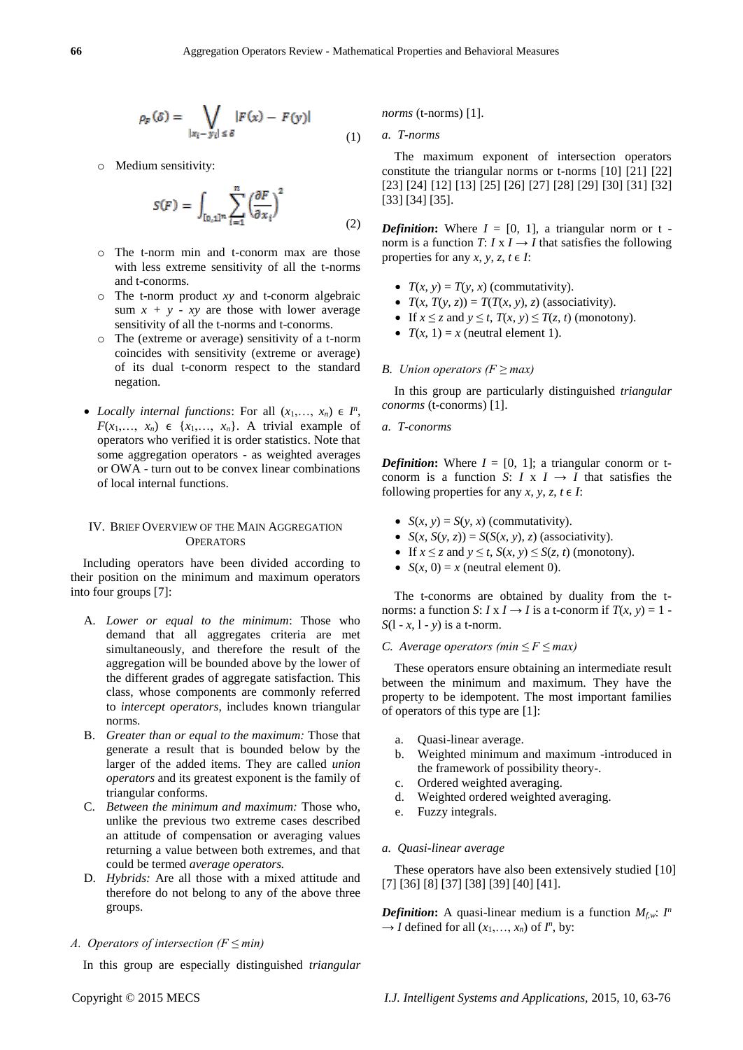$$
\rho_F(\delta) = \bigvee_{|x_i - y_i| \le \delta} |F(x) - F(y)| \tag{1}
$$

o Medium sensitivity:

$$
S(F) = \int_{[0,1]^n} \sum_{i=1}^n \left(\frac{\partial F}{\partial x_i}\right)^2 \tag{2}
$$

- o The t-norm min and t-conorm max are those with less extreme sensitivity of all the t-norms and t-conorms.
- o The t-norm product *xy* and t-conorm algebraic sum  $x + y - xy$  are those with lower average sensitivity of all the t-norms and t-conorms.
- o The (extreme or average) sensitivity of a t-norm coincides with sensitivity (extreme or average) of its dual t-conorm respect to the standard negation.
- *Locally internal functions:* For all  $(x_1, \ldots, x_n) \in I^n$ ,  $F(x_1,..., x_n) \in \{x_1,..., x_n\}$ . A trivial example of operators who verified it is order statistics. Note that some aggregation operators - as weighted averages or OWA - turn out to be convex linear combinations of local internal functions.

# IV. BRIEF OVERVIEW OF THE MAIN AGGREGATION **OPERATORS**

Including operators have been divided according to their position on the minimum and maximum operators into four groups [7]:

- A. *Lower or equal to the minimum*: Those who demand that all aggregates criteria are met simultaneously, and therefore the result of the aggregation will be bounded above by the lower of the different grades of aggregate satisfaction. This class, whose components are commonly referred to *intercept operators*, includes known triangular norms.
- B. *Greater than or equal to the maximum:* Those that generate a result that is bounded below by the larger of the added items. They are called *union operators* and its greatest exponent is the family of triangular conforms.
- C. *Between the minimum and maximum:* Those who, unlike the previous two extreme cases described an attitude of compensation or averaging values returning a value between both extremes, and that could be termed *average operators.*
- D. *Hybrids:* Are all those with a mixed attitude and therefore do not belong to any of the above three groups.

# *A. Operators of intersection (F ≤ min)*

In this group are especially distinguished *triangular* 

*norms* (t-norms) [1].

```
a. T-norms
```
The maximum exponent of intersection operators constitute the triangular norms or t-norms [10] [21] [22] [23] [24] [12] [13] [25] [26] [27] [28] [29] [30] [31] [32] [33] [34] [35].

*Definition*: Where  $I = [0, 1]$ , a triangular norm or t norm is a function *T*:  $I \times I \rightarrow I$  that satisfies the following properties for any *x*, *y*, *z*,  $t \in I$ :

- $T(x, y) = T(y, x)$  (commutativity).
- $T(x, T(y, z)) = T(T(x, y), z)$  (associativity).
- If  $x \le z$  and  $y \le t$ ,  $T(x, y) \le T(z, t)$  (monotony).
- $T(x, 1) = x$  (neutral element 1).

#### *B. Union operators (* $F \geq max$ *)*

In this group are particularly distinguished *triangular conorms* (t-conorms) [1].

*a. T-conorms*

*Definition*: Where  $I = [0, 1]$ ; a triangular conorm or tconorm is a function *S*:  $I \times I \rightarrow I$  that satisfies the following properties for any *x*, *y*, *z*,  $t \in I$ :

- $S(x, y) = S(y, x)$  (commutativity).
- $S(x, S(y, z)) = S(S(x, y), z)$  (associativity).
- If  $x \le z$  and  $y \le t$ ,  $S(x, y) \le S(z, t)$  (monotony).
- $S(x, 0) = x$  (neutral element 0).

The t-conorms are obtained by duality from the tnorms: a function *S*:  $I \times I \rightarrow I$  is a t-conorm if  $T(x, y) = 1$ .  $S(1 - x, 1 - y)$  is a t-norm.

# *C. Average operators (min ≤ F ≤ max)*

These operators ensure obtaining an intermediate result between the minimum and maximum. They have the property to be idempotent. The most important families of operators of this type are [1]:

- a. Quasi-linear average.
- b. Weighted minimum and maximum -introduced in the framework of possibility theory-.
- c. Ordered weighted averaging.
- d. Weighted ordered weighted averaging.
- e. Fuzzy integrals.

# *a. Quasi-linear average*

These operators have also been extensively studied [10] [7] [36] [8] [37] [38] [39] [40] [41].

*Definition*: A quasi-linear medium is a function  $M_{f,w}$ :  $I^m$  $\rightarrow$  *I* defined for all  $(x_1, \ldots, x_n)$  of  $I^n$ , by: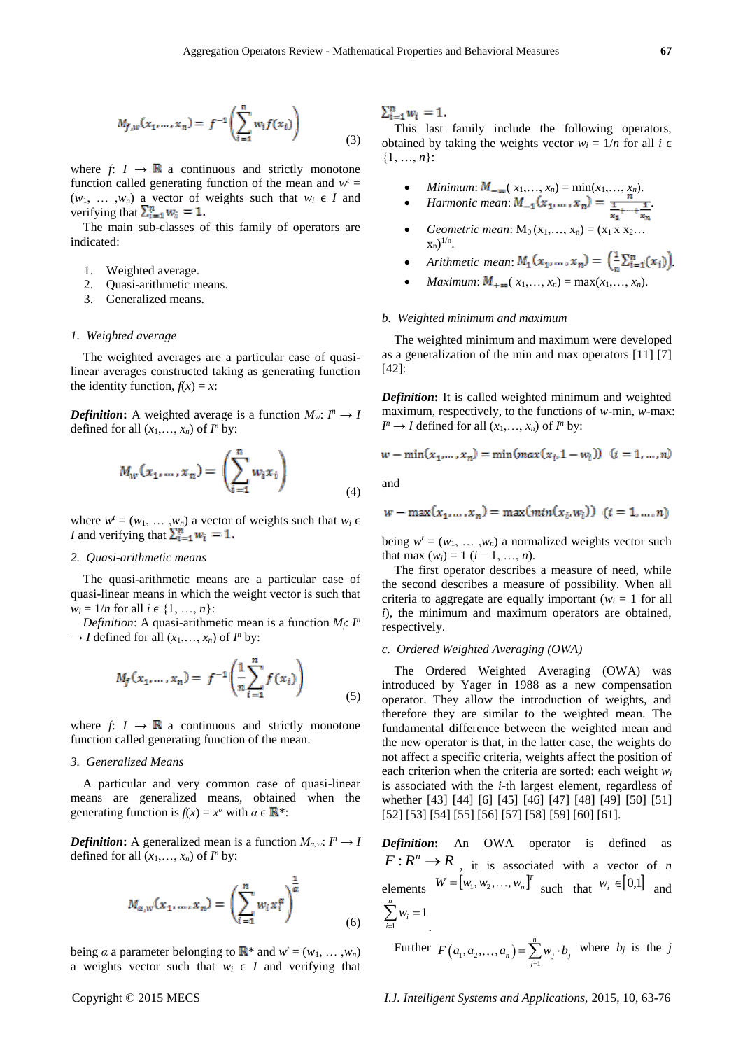$$
M_{f,w}(x_1,\ldots,x_n) = f^{-1}\left(\sum_{i=1}^n w_i f(x_i)\right)
$$
 (3)

where  $f: I \to \mathbb{R}$  a continuous and strictly monotone function called generating function of the mean and  $w<sup>t</sup> =$  $(w_1, \ldots, w_n)$  a vector of weights such that  $w_i \in I$  and verifying that  $\sum_{i=1}^{n} w_i = 1$ .

The main sub-classes of this family of operators are indicated:

- 1. Weighted average.
- 2. Quasi-arithmetic means.
- 3. Generalized means.

# *1. Weighted average*

The weighted averages are a particular case of quasilinear averages constructed taking as generating function the identity function,  $f(x) = x$ :

*Definition*: A weighted average is a function  $M_w$ :  $I^n \to I$ defined for all  $(x_1, \ldots, x_n)$  of  $I^n$  by:

$$
M_{w}(x_{1},...,x_{n}) = \left(\sum_{i=1}^{n} w_{i}x_{i}\right)
$$
\n(4)

where  $w^t = (w_1, \ldots, w_n)$  a vector of weights such that  $w_i \in$ *I* and verifying that  $\sum_{i=1}^{n} w_i = 1$ .

#### *2. Quasi-arithmetic means*

The quasi-arithmetic means are a particular case of quasi-linear means in which the weight vector is such that  $w_i = 1/n$  for all  $i \in \{1, ..., n\}$ :

*Definition*: A quasi-arithmetic mean is a function  $M_f$ :  $I<sup>n</sup>$  $\rightarrow$  *I* defined for all  $(x_1, \ldots, x_n)$  of  $I^n$  by:

$$
M_f(x_1, \dots, x_n) = f^{-1}\left(\frac{1}{n}\sum_{i=1}^n f(x_i)\right)
$$
\n(5)

where  $f: I \to \mathbb{R}$  a continuous and strictly monotone function called generating function of the mean.

#### *3. Generalized Means*

A particular and very common case of quasi-linear means are generalized means, obtained when the generating function is  $f(x) = x^{\alpha}$  with  $\alpha \in \mathbb{R}^*$ :

*Definition*: A generalized mean is a function  $M_{\alpha,\text{w}}$ :  $I^n \to I$ defined for all  $(x_1, \ldots, x_n)$  of  $I^n$  by:

$$
M_{\alpha,w}(x_1,...,x_n) = \left(\sum_{i=1}^n w_i x_i^{\alpha}\right)^{\frac{1}{\alpha}}
$$
(6)

being *α* a parameter belonging to  $\mathbb{R}^*$  and  $w^t = (w_1, \dots, w_n)$ a weights vector such that  $w_i \in I$  and verifying that

 $\sum_{i=1}^n w_i = 1.$ 

This last family include the following operators, obtained by taking the weights vector  $w_i = 1/n$  for all  $i \in$ {1, …, *n*}:

• *Minimum*: 
$$
M_{-\infty}(x_1,...,x_n) = \min(x_1,...,x_n)
$$
.

- *Harmonic mean*:  $M_{-1}(x_1, ..., x_n) = \frac{n}{1 + \frac{1}{n}}$ .
- *Geometric mean*:  $M_0(x_1,...,x_n) = (x_1 x_1 x_2...$  $(x_n)^{1/n}$ .
- *Arithmetic mean*:  $M_1(x_1,...,x_n) = \left(\frac{1}{n}\sum_{i=1}^n(x_i)\right)$
- *Maximum*:  $M_{+\infty}(x_1,...,x_n) = \max(x_1,...,x_n)$ .

## *b. Weighted minimum and maximum*

The weighted minimum and maximum were developed as a generalization of the min and max operators [11] [7] [42]:

*Definition***:** It is called weighted minimum and weighted maximum, respectively, to the functions of *w*-min, *w*-max:  $I^n \to I$  defined for all  $(x_1, \ldots, x_n)$  of  $I^n$  by:

$$
v - \min(x_1, \dots, x_n) = \min(\max(x_i, 1 - w_i)) \quad (i = 1, \dots, n)
$$

and

ī.

$$
w - \max(x_1, ..., x_n) = \max(\min(x_i, w_i)) \ (i = 1, ..., n)
$$

being  $w^t = (w_1, \ldots, w_n)$  a normalized weights vector such that max  $(w_i) = 1$   $(i = 1, ..., n)$ .

The first operator describes a measure of need, while the second describes a measure of possibility. When all criteria to aggregate are equally important ( $w_i = 1$  for all *i*), the minimum and maximum operators are obtained, respectively.

# *c. Ordered Weighted Averaging (OWA)*

The Ordered Weighted Averaging (OWA) was introduced by Yager in 1988 as a new compensation operator. They allow the introduction of weights, and therefore they are similar to the weighted mean. The fundamental difference between the weighted mean and the new operator is that, in the latter case, the weights do not affect a specific criteria, weights affect the position of each criterion when the criteria are sorted: each weight *w<sup>i</sup>* is associated with the *i*-th largest element, regardless of whether [43] [44] [6] [45] [46] [47] [48] [49] [50] [51] [52] [53] [54] [55] [56] [57] [58] [59] [60] [61].

*Definition***:** An OWA operator is defined as  $F: \mathbb{R}^n \to \mathbb{R}$ , it is associated with a vector of *n* elements  $W = [w_1, w_2, ..., w_n]^\text{T}$  such that  $w_i \in [0,1]$  and  $\sum_{i=1}^{n} w_i = 1$ *i* 1 .

Further 
$$
F(a_1, a_2,..., a_n) = \sum_{j=1}^{n} w_j \cdot b_j
$$
 where  $b_j$  is the j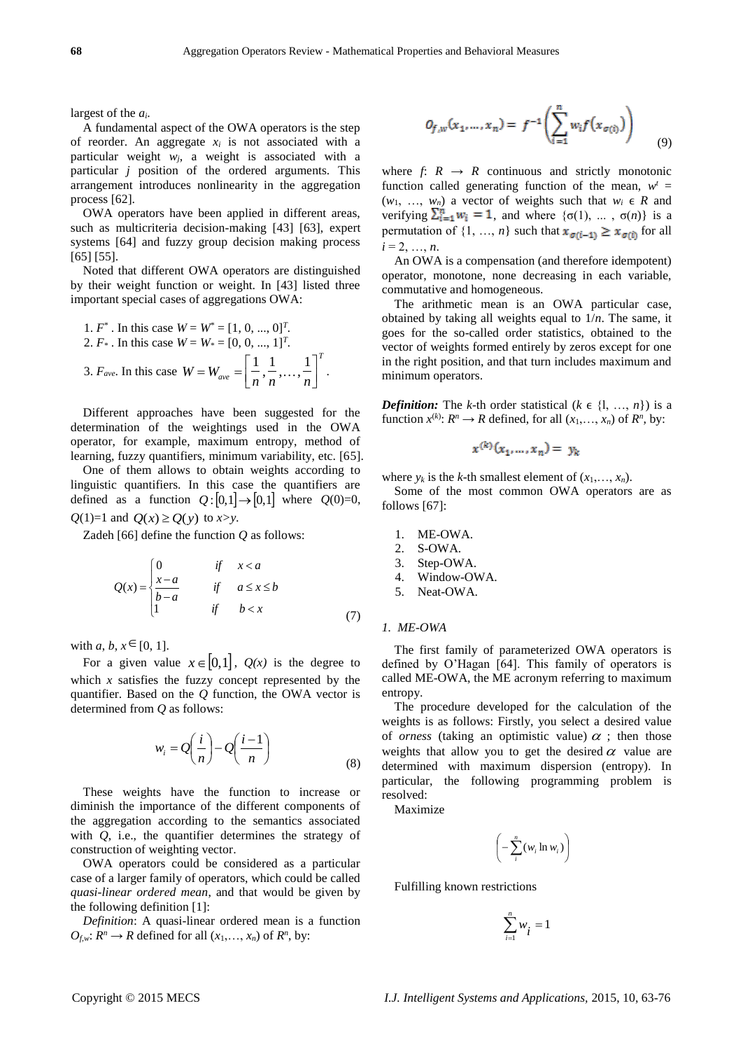largest of the *ai*.

A fundamental aspect of the OWA operators is the step of reorder. An aggregate *x<sup>i</sup>* is not associated with a particular weight *wj*, a weight is associated with a particular *j* position of the ordered arguments. This arrangement introduces nonlinearity in the aggregation process [62].

OWA operators have been applied in different areas, such as multicriteria decision-making [43] [63], expert systems [64] and fuzzy group decision making process [65] [55].

Noted that different OWA operators are distinguished by their weight function or weight. In [43] listed three important special cases of aggregations OWA:

1. 
$$
F^*
$$
. In this case  $W = W^* = [1, 0, ..., 0]^T$ .  
\n2.  $F_*$ . In this case  $W = W_* = [0, 0, ..., 1]^T$ .  
\n3.  $F_{ave}$ . In this case  $W = W_{ave} = \left[\frac{1}{n}, \frac{1}{n}, ..., \frac{1}{n}\right]^T$ .

Different approaches have been suggested for the determination of the weightings used in the OWA operator, for example, maximum entropy, method of learning, fuzzy quantifiers, minimum variability, etc. [65].

One of them allows to obtain weights according to linguistic quantifiers. In this case the quantifiers are defined as a function  $Q: [0,1] \rightarrow [0,1]$  where  $Q(0)=0$ , *Q*(1)=1 and *Q*(*x*)  $\ge$  *Q*(*y*) to *x*>*y*.

Zadeh [66] define the function *Q* as follows:

$$
Q(x) = \begin{cases} 0 & \text{if } x < a \\ \frac{x-a}{b-a} & \text{if } a \le x \le b \\ 1 & \text{if } b < x \end{cases}
$$
(7)

with *a*, *b*,  $x \in [0, 1]$ .

For a given value  $x \in [0,1]$ ,  $Q(x)$  is the degree to which  $x$  satisfies the fuzzy concept represented by the quantifier. Based on the *Q* function, the OWA vector is determined from *Q* as follows:

$$
w_i = Q\left(\frac{i}{n}\right) - Q\left(\frac{i-1}{n}\right) \tag{8}
$$

These weights have the function to increase or diminish the importance of the different components of the aggregation according to the semantics associated with *Q*, i.e., the quantifier determines the strategy of construction of weighting vector.

OWA operators could be considered as a particular case of a larger family of operators, which could be called *quasi-linear ordered mean*, and that would be given by the following definition [1]:

*Definition*: A quasi-linear ordered mean is a function  $O_{f,w}: R^n \to R$  defined for all  $(x_1,...,x_n)$  of  $R^n$ , by:

$$
O_{f,w}(x_1, \dots, x_n) = f^{-1}\left(\sum_{i=1}^n w_i f(x_{\sigma(i)})\right) \tag{9}
$$

where  $f: R \rightarrow R$  continuous and strictly monotonic function called generating function of the mean,  $w^t =$  $(w_1, ..., w_n)$  a vector of weights such that  $w_i \in R$  and verifying  $\sum_{i=1}^{n} w_i = 1$ , and where  $\{\sigma(1), \dots, \sigma(n)\}$  is a permutation of  $\{1, ..., n\}$  such that  $\mathbf{x}_{\sigma(i-1)} \geq \mathbf{x}_{\sigma(i)}$  for all  $i = 2, ..., n$ .

An OWA is a compensation (and therefore idempotent) operator, monotone, none decreasing in each variable, commutative and homogeneous.

The arithmetic mean is an OWA particular case, obtained by taking all weights equal to 1/*n*. The same, it goes for the so-called order statistics, obtained to the vector of weights formed entirely by zeros except for one in the right position, and that turn includes maximum and minimum operators.

*Definition:* The *k*-th order statistical ( $k \in \{1, ..., n\}$ ) is a function  $x^{(k)}: R^n \to R$  defined, for all  $(x_1, \ldots, x_n)$  of  $R^n$ , by:

$$
x^{(k)}(x_1, ..., x_n) = y_k
$$

where  $y_k$  is the *k*-th smallest element of  $(x_1, \ldots, x_n)$ .

Some of the most common OWA operators are as follows [67]:

- 1. ME-OWA.
- 2. S-OWA.
- 3. Step-OWA.
- 4. Window-OWA.
- 5. Neat-OWA.

#### *1. ME-OWA*

The first family of parameterized OWA operators is defined by O'Hagan [64]. This family of operators is called ME-OWA, the ME acronym referring to maximum entropy.

The procedure developed for the calculation of the weights is as follows: Firstly, you select a desired value of *orness* (taking an optimistic value)  $\alpha$ ; then those weights that allow you to get the desired  $\alpha$  value are determined with maximum dispersion (entropy). In particular, the following programming problem is resolved:

Maximize

$$
\left(-\sum_{i}^{n}(w_i \ln w_i)\right)
$$

Fulfilling known restrictions

$$
\sum_{i=1}^{n} w_i = 1
$$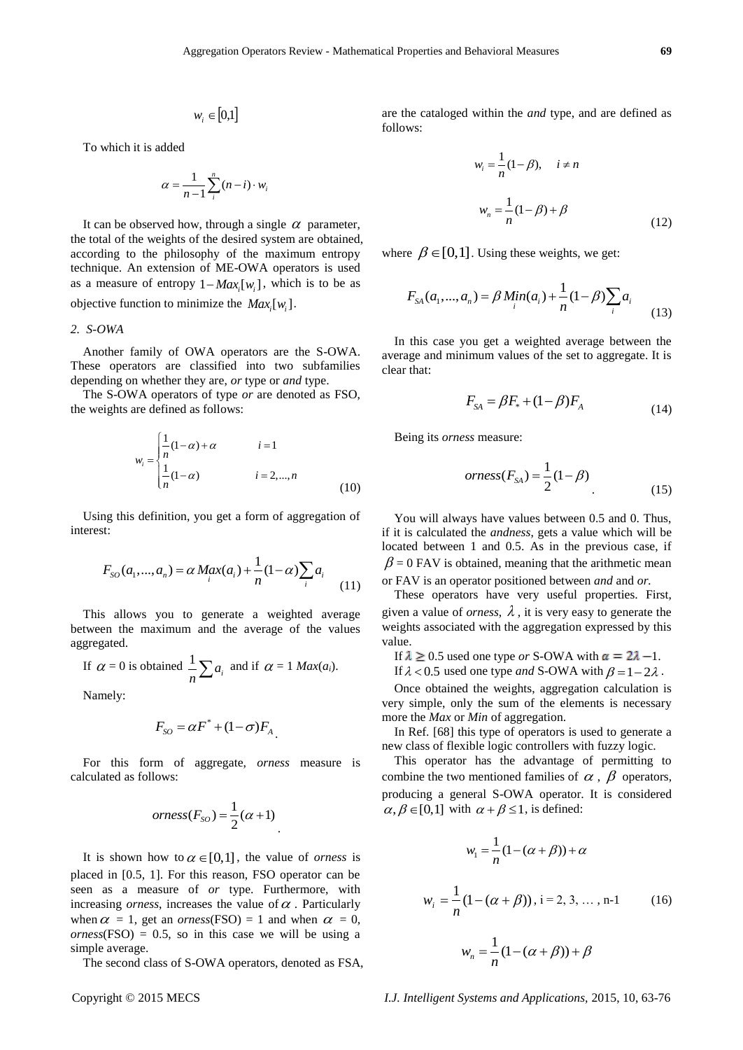$$
W_i \in [0,1]
$$

To which it is added

$$
\alpha = \frac{1}{n-1} \sum_{i}^{n} (n-i) \cdot w_i
$$

It can be observed how, through a single  $\alpha$  parameter, the total of the weights of the desired system are obtained, according to the philosophy of the maximum entropy technique. An extension of ME-OWA operators is used as a measure of entropy  $1 - Max_i[w_i]$ , which is to be as objective function to minimize the  $Max_i[w_i]$ .

*2. S-OWA*

Another family of OWA operators are the S-OWA. These operators are classified into two subfamilies depending on whether they are, *or* type or *and* type.

The S-OWA operators of type *or* are denoted as FSO, the weights are defined as follows:

$$
w_i = \begin{cases} \frac{1}{n}(1-\alpha) + \alpha & i = 1\\ \frac{1}{n}(1-\alpha) & i = 2, \dots, n \end{cases} \tag{10}
$$

Using this definition, you get a form of aggregation of interest:

$$
F_{SO}(a_1,...,a_n) = \alpha M a x(a_i) + \frac{1}{n} (1 - \alpha) \sum_i a_i
$$
 (11)

This allows you to generate a weighted average between the maximum and the average of the values aggregated.

If 
$$
\alpha = 0
$$
 is obtained  $\frac{1}{n} \sum a_i$  and if  $\alpha = 1$  Max $(a_i)$ .

Namely:

$$
F_{SO} = \alpha F^* + (1 - \sigma) F_A
$$

.

.

For this form of aggregate, *orness* measure is calculated as follows:

$$
orness(F_{SO}) = \frac{1}{2}(\alpha + 1)
$$

It is shown how to  $\alpha \in [0,1]$ , the value of *orness* is placed in [0.5, 1]. For this reason, FSO operator can be seen as a measure of *or* type. Furthermore, with increasing *orness*, increases the value of  $\alpha$ . Particularly when  $\alpha = 1$ , get an *orness*(FSO) = 1 and when  $\alpha = 0$ ,  $orness(FSO) = 0.5$ , so in this case we will be using a simple average.

The second class of S-OWA operators, denoted as FSA,

are the cataloged within the *and* type, and are defined as follows:

$$
w_i = \frac{1}{n}(1-\beta), \quad i \neq n
$$
  

$$
w_n = \frac{1}{n}(1-\beta) + \beta
$$
 (12)

where  $\beta \in [0,1]$ . Using these weights, we get:

$$
F_{SA}(a_1,...,a_n) = \beta \, Min(a_i) + \frac{1}{n} (1 - \beta) \sum_i a_i
$$
\n(13)

In this case you get a weighted average between the average and minimum values of the set to aggregate. It is clear that:

$$
F_{SA} = \beta F_* + (1 - \beta) F_A
$$
 (14)

Being its *orness* measure:

$$
orness(F_{SA}) = \frac{1}{2}(1 - \beta)
$$
\n(15)

You will always have values between 0.5 and 0. Thus, if it is calculated the *andness*, gets a value which will be located between 1 and 0.5. As in the previous case, if  $\beta$  = 0 FAV is obtained, meaning that the arithmetic mean or FAV is an operator positioned between *and* and *or.*

These operators have very useful properties. First, given a value of *orness*,  $\lambda$ , it is very easy to generate the weights associated with the aggregation expressed by this value.

If  $\lambda \ge 0.5$  used one type *or* S-OWA with  $\alpha = 2\lambda - 1$ .

If  $\lambda$  < 0.5 used one type *and* S-OWA with  $\beta = 1 - 2\lambda$ .

Once obtained the weights, aggregation calculation is very simple, only the sum of the elements is necessary more the *Max* or *Min* of aggregation.

In Ref. [68] this type of operators is used to generate a new class of flexible logic controllers with fuzzy logic.

This operator has the advantage of permitting to combine the two mentioned families of  $\alpha$ ,  $\beta$  operators, producing a general S-OWA operator. It is considered  $\alpha, \beta \in [0,1]$  with  $\alpha + \beta \leq 1$ , is defined:

*w<sub>i</sub>* = [0,1] are the cataloged within the *and* type, and are defined as follows:  
\nTo which it is added  
\n
$$
\alpha = \frac{1}{n-1} \sum_{j=1}^{n} (n-i) \cdot w_j
$$
\nIt can be observed how through a single *G* parameter,  
\nIt is shown how to *g* is the probability of the maximum entropy  
\n
$$
\alpha = \frac{1}{n-1} \sum_{j=1}^{n} (n-i) \cdot w_j
$$
\n
$$
\alpha = \frac{1}{n-1} (1-\beta) \cdot i \neq n
$$
\n(12) The probability of the maximum entropy where  $\beta \in [0,1]$ . Using these weights, we get:  
\nthe total of the weights of the desired system are obtained,  
\nthe coupling to. An extension of ME-GWA (pu), which is to be as  
\nthe same number of entropy 1 – *Mat*<sub>2</sub>(w<sub>1</sub>), which is to be as  
\na measure of entropy 1 – *Mat*<sub>2</sub>(w<sub>1</sub>), which is to be as  
\na measure of entropy 1 – *Mat*<sub>2</sub>(w<sub>1</sub>), which is to be as  
\na measure of the *Mat*<sub>2</sub>(w<sub>1</sub>), which is the sum of the *at*<sub>2</sub>(v<sub>1</sub>, we are  
\ndepending on whether they are, or type or and type.  
\nThe second set of the *at*<sub>2</sub> is the probability  
\n
$$
\alpha = \frac{1}{n} (1-\alpha) \qquad i=1
$$
\n
$$
\alpha = 1
$$
\n
$$
\alpha = 1
$$
\n
$$
\alpha = 1
$$
\nUsing this definition, you get a form of aggregation of  
\n
$$
\alpha = 1
$$
\n
$$
\alpha = 1
$$
\nUsing the average of the values  
\n
$$
\alpha = 1
$$
\n
$$
\alpha = 1
$$
\n
$$
\alpha = 1
$$
\n
$$
\alpha = 1
$$
\n
$$
\alpha = 1
$$
\n
$$
\alpha = 1
$$
\n
$$
\alpha = 1
$$
\n
$$
\alpha = 1
$$
\n
$$
\alpha = 1
$$
\n
$$
\alpha = 1
$$
\n
$$
\alpha = 1
$$
\n
$$
\alpha =
$$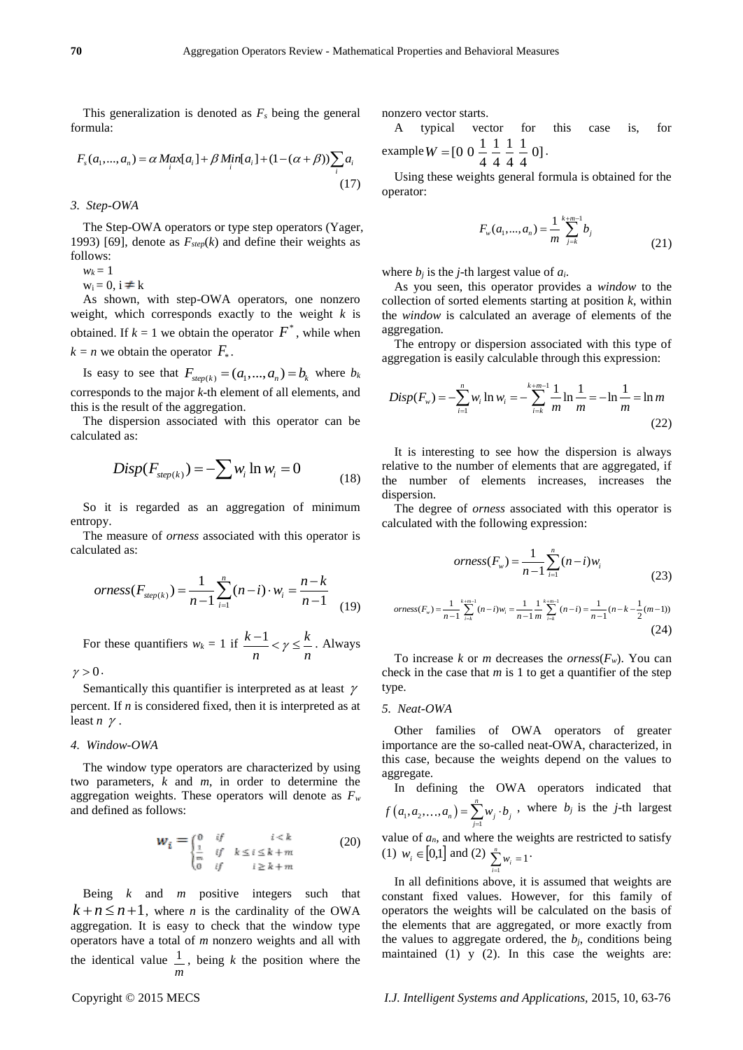This generalization is denoted as *F<sup>s</sup>* being the general formula:

formula:  
\n
$$
F_s(a_1,...,a_n) = \alpha \, Max[a_i] + \beta \, Min[a_i] + (1 - (\alpha + \beta)) \sum_i a_i
$$
\n(17)

*3. Step-OWA*

The Step-OWA operators or type step operators (Yager, 1993) [69], denote as  $F<sub>step</sub>(k)$  and define their weights as follows:

 $w_k = 1$ 

 $w_i = 0$ ,  $i \neq k$ 

As shown, with step-OWA operators, one nonzero weight, which corresponds exactly to the weight *k* is obtained. If  $k = 1$  we obtain the operator  $F^*$ , while when  $k = n$  we obtain the operator  $F_*$ .

Is easy to see that  $F_{\text{step}(k)} = (a_1, ..., a_n) = b_k$  where  $b_k$ corresponds to the major *k*-th element of all elements, and this is the result of the aggregation.

The dispersion associated with this operator can be calculated as:

$$
Disp(F_{step(k)}) = -\sum w_i \ln w_i = 0
$$
\n(18)

So it is regarded as an aggregation of minimum entropy.

The measure of *orness* associated with this operator is calculated as:

$$
orness(F_{step(k)}) = \frac{1}{n-1} \sum_{i=1}^{n} (n-i) \cdot w_i = \frac{n-k}{n-1}
$$
(19)

For these quantifiers  $w_k = 1$  if  $\frac{k-1}{k} < \gamma \leq \frac{k}{k}$  $\frac{-1}{n} < \gamma \leq \frac{k}{n}$ . Always

 $\gamma > 0$ .

Semantically this quantifier is interpreted as at least  $\gamma$ percent. If *n* is considered fixed, then it is interpreted as at least  $n \gamma$ .

#### *4. Window-OWA*

The window type operators are characterized by using two parameters, *k* and *m*, in order to determine the aggregation weights. These operators will denote as *F<sup>w</sup>* and defined as follows:

$$
W_i = \begin{cases} 0 & if & i < k \\ \frac{1}{m} & if & k \le i \le k+m \\ 0 & if & i \ge k+m \end{cases} \tag{20}
$$

Being *k* and *m* positive integers such that  $k + n \leq n + 1$ , where *n* is the cardinality of the OWA aggregation. It is easy to check that the window type operators have a total of *m* nonzero weights and all with the identical value  $\frac{1}{n}$ , being *k* the position where the *m*

nonzero vector starts.

A typical vector for this case is, for example  $W = [0 \ 0 \ \frac{1}{4} \ \frac{1}{4} \ \frac{1}{4} \ \frac{1}{4} \ 0]$ .

example 
$$
W = [0 \ 0 \ - \ - \ - \ - \ 0]
$$
  
4 4 4 4

Using these weights general formula is obtained for the operator:

$$
F_w(a_1, ..., a_n) = \frac{1}{m} \sum_{j=k}^{k+m-1} b_j
$$
\n(21)

where  $b_i$  is the *j*-th largest value of  $a_i$ .

As you seen, this operator provides a *window* to the collection of sorted elements starting at position *k*, within the *window* is calculated an average of elements of the aggregation.

The entropy or dispersion associated with this type of

For the entropy of displacement associated with this type of

\naggregation is easily calculable through this expression:

\n
$$
Disp(F_w) = -\sum_{i=1}^{n} w_i \ln w_i = -\sum_{i=k}^{k+m-1} \frac{1}{m} \ln \frac{1}{m} = -\ln \frac{1}{m} = \ln m
$$
\n(22)

It is interesting to see how the dispersion is always relative to the number of elements that are aggregated, if the number of elements increases, increases the dispersion.

The degree of *orness* associated with this operator is calculated with the following expression:

*orness*
$$
(F_w) = \frac{1}{n-1} \sum_{i=1}^{n} (n-i) w_i
$$
 (23)

$$
orness(F_w) = \frac{1}{n-1} \sum_{i=1}^{n} (n-i)w_i
$$
\n
$$
(23)
$$
\n
$$
orness(F_w) = \frac{1}{n-1} \sum_{i=k}^{n+m-1} (n-i)w_i = \frac{1}{n-1} \frac{1}{m} \sum_{i=k}^{n+m-1} (n-i) = \frac{1}{n-1} (n-k - \frac{1}{2} (m-1))
$$
\n
$$
(24)
$$

To increase *k* or *m* decreases the *orness*( $F_w$ ). You can check in the case that  $m$  is 1 to get a quantifier of the step type.

# *5. Neat-OWA*

Other families of OWA operators of greater importance are the so-called neat-OWA, characterized, in this case, because the weights depend on the values to aggregate.

In defining the OWA operators indicated that  $(a_1, a_2,..., a_n) = \sum_{j=1}^n$  $f(a_1, a_2,..., a_n) = \sum_{j=1}^n w_j \cdot b_j$ , where *b<sub>j</sub>* is the *j*-th largest value of  $a_n$ , and where the weights are restricted to satisfy (1)  $w_i \in [0,1]$  and (2)  $\sum_{i=1}^{n} w_i =$  $\sum_{i=1}^{n} w_i = 1$ .

In all definitions above, it is assumed that weights are constant fixed values. However, for this family of operators the weights will be calculated on the basis of the elements that are aggregated, or more exactly from the values to aggregate ordered, the  $b_j$ , conditions being maintained (1) y (2). In this case the weights are: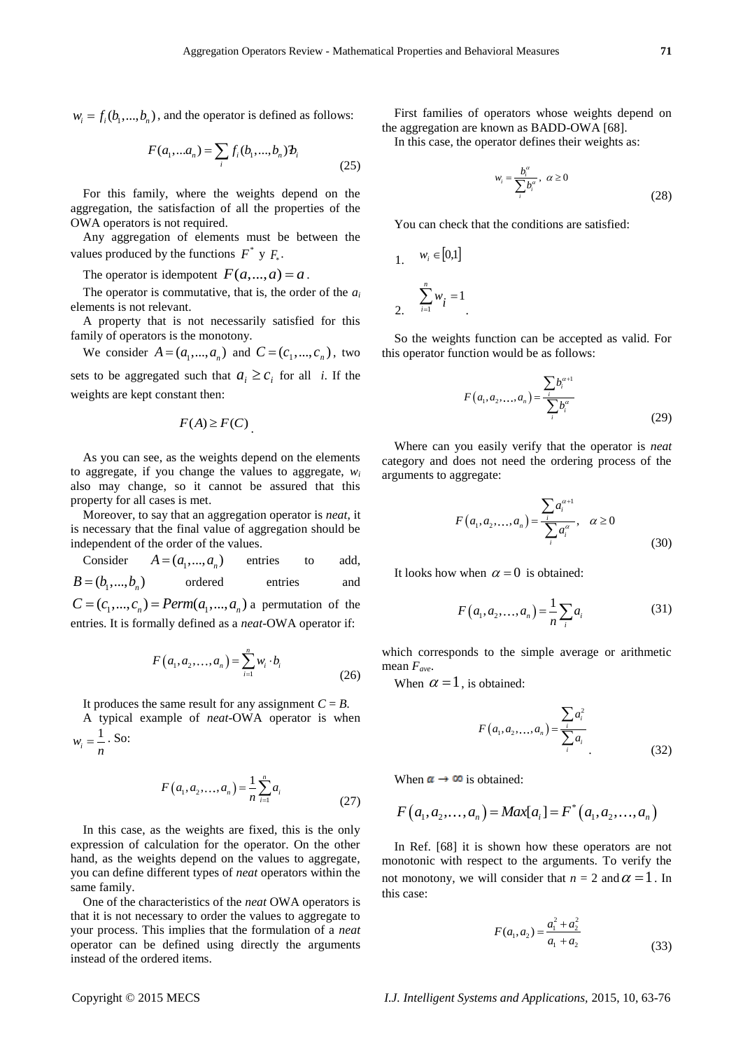$w_i = f_i(b_1, ..., b_n)$ , and the operator is defined as follows:

$$
F(a_1,...a_n) = \sum_i f_i(b_1,...,b_n) b_i
$$
 (25)

For this family, where the weights depend on the aggregation, the satisfaction of all the properties of the OWA operators is not required.

Any aggregation of elements must be between the values produced by the functions  $F^*$  y  $F_*$ .

The operator is idempotent  $F(a,..., a) = a$ .

The operator is commutative, that is, the order of the *a<sup>i</sup>* elements is not relevant.

A property that is not necessarily satisfied for this family of operators is the monotony.

We consider  $A = (a_1, ..., a_n)$  and  $C = (c_1, ..., c_n)$ , two

sets to be aggregated such that  $a_i \geq c_i$  for all *i*. If the weights are kept constant then:

$$
F(A)\!\geq\!F(C)
$$

.

As you can see, as the weights depend on the elements to aggregate, if you change the values to aggregate, *w<sup>i</sup>* also may change, so it cannot be assured that this property for all cases is met.

Moreover, to say that an aggregation operator is *neat*, it is necessary that the final value of aggregation should be independent of the order of the values.

Consider  $A = (a_1, ..., a_n)$ entries to add,  $B = (b_1, ..., b_n)$ ordered entries and  $D = (c_1, ..., c_n)$  ordered entries and<br>  $C = (c_1, ..., c_n) = Perm(a_1, ..., a_n)$  a permutation of the entries. It is formally defined as a *neat*-OWA operator if:

$$
F(a_1, a_2,..., a_n) = \sum_{i=1}^{n} w_i \cdot b_i
$$
 (26)

It produces the same result for any assignment  $C = B$ .

A typical example of *neat*-OWA operator is when  $w_i = \frac{1}{n}$ . So:

$$
\frac{1}{n}
$$

$$
F(a_1, a_2,..., a_n) = \frac{1}{n} \sum_{i=1}^{n} a_i
$$
\n(27)

In this case, as the weights are fixed, this is the only expression of calculation for the operator. On the other hand, as the weights depend on the values to aggregate, you can define different types of *neat* operators within the same family.

One of the characteristics of the *neat* OWA operators is that it is not necessary to order the values to aggregate to your process. This implies that the formulation of a *neat* operator can be defined using directly the arguments instead of the ordered items.

First families of operators whose weights depend on the aggregation are known as BADD-OWA [68].

In this case, the operator defines their weights as:

$$
w_i = \frac{b_i^{\alpha}}{\sum_i b_i^{\alpha}}, \ \alpha \ge 0
$$
\n
$$
(28)
$$

You can check that the conditions are satisfied:

1. 
$$
w_i \in [0,1]
$$
  
2. 
$$
\sum_{i=1}^n w_i = 1
$$

So the weights function can be accepted as valid. For this operator function would be as follows:

$$
F(a_1, a_2,..., a_n) = \frac{\sum_{i} b_i^{a+1}}{\sum_{i} b_i^{a}}
$$
\n(29)

Where can you easily verify that the operator is *neat* category and does not need the ordering process of the arguments to aggregate:

$$
F(a_1, a_2,..., a_n) = \frac{\sum_i a_i^{\alpha+1}}{\sum_i a_i^{\alpha}}, \quad \alpha \ge 0
$$
\n(30)

It looks how when  $\alpha = 0$  is obtained:

$$
F(a_1, a_2,..., a_n) = \frac{1}{n} \sum_i a_i
$$
 (31)

which corresponds to the simple average or arithmetic mean *Fave*.

When  $\alpha = 1$ , is obtained:

$$
F(a_1, a_2,..., a_n) = \frac{\sum_{i} a_i^2}{\sum_{i} a_i}
$$
 (32)

When  $\alpha \rightarrow \infty$  is obtained:

when 
$$
a \to \infty
$$
 is obtained:  
\n
$$
F(a_1, a_2,..., a_n) = Max[a_i] = F^*(a_1, a_2,..., a_n)
$$

In Ref. [68] it is shown how these operators are not monotonic with respect to the arguments. To verify the not monotony, we will consider that  $n = 2$  and  $\alpha = 1$ . In this case:

$$
F(a_1, a_2) = \frac{a_1^2 + a_2^2}{a_1 + a_2}
$$
\n(33)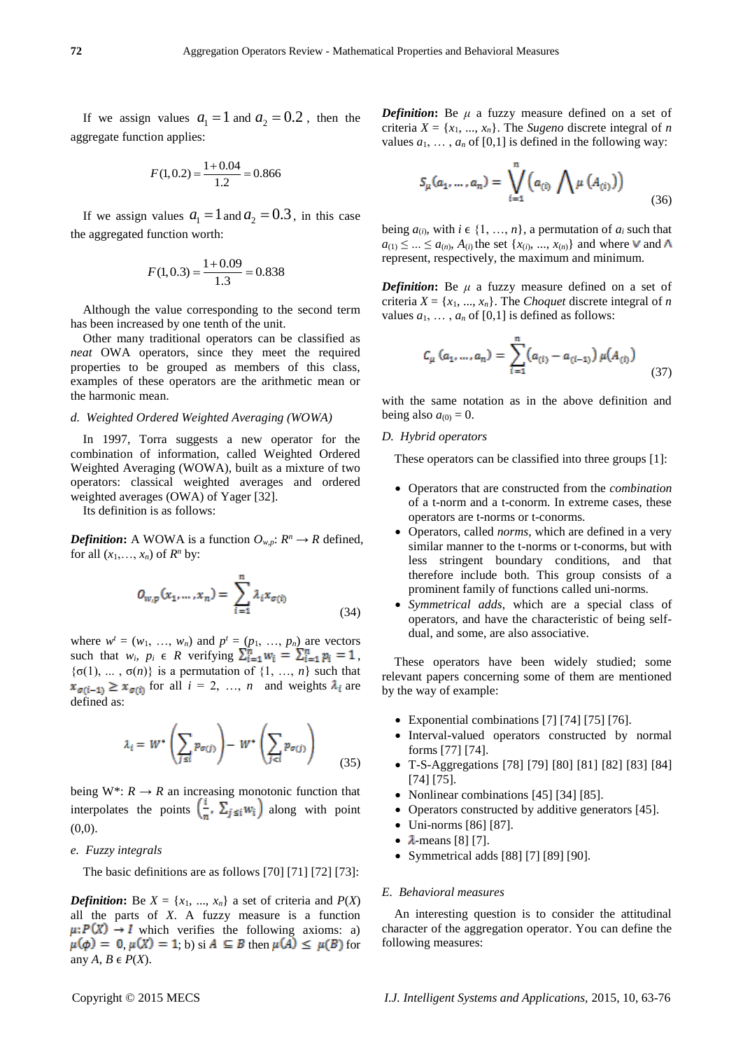If we assign values  $a_1 = 1$  and  $a_2 = 0.2$ , then the aggregate function applies:

$$
F(1,0.2) = \frac{1+0.04}{1.2} = 0.866
$$

If we assign values  $a_1 = 1$  and  $a_2 = 0.3$ , in this case the aggregated function worth:

$$
F(1,0.3) = \frac{1+0.09}{1.3} = 0.838
$$

Although the value corresponding to the second term has been increased by one tenth of the unit.

Other many traditional operators can be classified as *neat* OWA operators, since they meet the required properties to be grouped as members of this class, examples of these operators are the arithmetic mean or the harmonic mean.

#### *d. Weighted Ordered Weighted Averaging (WOWA)*

In 1997, Torra suggests a new operator for the combination of information, called Weighted Ordered Weighted Averaging (WOWA), built as a mixture of two operators: classical weighted averages and ordered weighted averages (OWA) of Yager [32].

Its definition is as follows:

*Definition*: A WOWA is a function  $O_{w,p}: R^n \to R$  defined, for all  $(x_1, \ldots, x_n)$  of  $R^n$  by:

$$
O_{w,p}(x_1, \dots, x_n) = \sum_{i=1}^n \lambda_i x_{\sigma(i)}
$$
\n(34)

where  $w^t = (w_1, ..., w_n)$  and  $p^t = (p_1, ..., p_n)$  are vectors such that  $w_i$ ,  $p_i \in R$  verifying  $\sum_{i=1}^{n} w_i = \sum_{i=1}^{n} p_i = 1$ , { $\sigma(1), \ldots, \sigma(n)$ } is a permutation of {1, ..., *n*} such that  $x_{\sigma(i-1)} \ge x_{\sigma(i)}$  for all  $i = 2, ..., n$  and weights  $\lambda_i$  are defined as:

$$
\lambda_i = W^* \left( \sum_{j \leq i} p_{\sigma(j)} \right) - W^* \left( \sum_{j < i} p_{\sigma(j)} \right) \tag{35}
$$

being W<sup>\*</sup>:  $R \rightarrow R$  an increasing monotonic function that interpolates the points  $\left(\frac{i}{n}, \sum_{j \leq i} w_i\right)$  along with point  $(0,0)$ .

*e. Fuzzy integrals*

The basic definitions are as follows [70] [71] [72] [73]:

*Definition*: Be  $X = \{x_1, ..., x_n\}$  a set of criteria and  $P(X)$ all the parts of *X*. A fuzzy measure is a function  $\mu$ :  $P(X) \rightarrow I$  which verifies the following axioms: a)  $\mu(\phi) = 0$ ,  $\mu(X) = 1$ , b) si  $A \subseteq B$  then  $\mu(A) \leq \mu(B)$  for any  $A, B \in P(X)$ .

*Definition*: Be  $\mu$  a fuzzy measure defined on a set of criteria  $X = \{x_1, ..., x_n\}$ . The *Sugeno* discrete integral of *n* values  $a_1, \ldots, a_n$  of [0,1] is defined in the following way:

$$
S_{\mu}(a_1, ..., a_n) = \bigvee_{i=1}^{n} \left( a_{(i)} \bigwedge \mu (A_{(i)}) \right)
$$
 (36)

being  $a_{(i)}$ , with  $i \in \{1, ..., n\}$ , a permutation of  $a_i$  such that  $a_{(1)} \leq ... \leq a_{(n)}$ ,  $A_{(i)}$  the set  $\{x_{(i)}, ..., x_{(n)}\}$  and where **v** and **A** represent, respectively, the maximum and minimum.

*Definition***:** Be *μ* a fuzzy measure defined on a set of criteria  $X = \{x_1, ..., x_n\}$ . The *Choquet* discrete integral of *n* values  $a_1, \ldots, a_n$  of [0,1] is defined as follows:

$$
C_{\mu}(a_1, ..., a_n) = \sum_{i=1}^{n} (a_{(i)} - a_{(i-1)}) \mu(A_{(i)})
$$
\n(37)

with the same notation as in the above definition and being also  $a_{(0)} = 0$ .

# *D. Hybrid operators*

These operators can be classified into three groups [1]:

- Operators that are constructed from the *combination* of a t-norm and a t-conorm. In extreme cases, these operators are t-norms or t-conorms.
- Operators, called *norms*, which are defined in a very similar manner to the t-norms or t-conorms, but with less stringent boundary conditions, and that therefore include both. This group consists of a prominent family of functions called uni-norms.
- *Symmetrical adds*, which are a special class of operators, and have the characteristic of being selfdual, and some, are also associative.

These operators have been widely studied; some relevant papers concerning some of them are mentioned by the way of example:

- Exponential combinations [7] [74] [75] [76].
- Interval-valued operators constructed by normal forms [77] [74].
- T-S-Aggregations [78] [79] [80] [81] [82] [83] [84] [74] [75].
- Nonlinear combinations [45] [34] [85].
- Operators constructed by additive generators [45].
- Uni-norms [86] [87].
- $\bullet$   $\lambda$ -means [8] [7].
- Symmetrical adds [88] [7] [89] [90].

#### *E. Behavioral measures*

An interesting question is to consider the attitudinal character of the aggregation operator. You can define the following measures: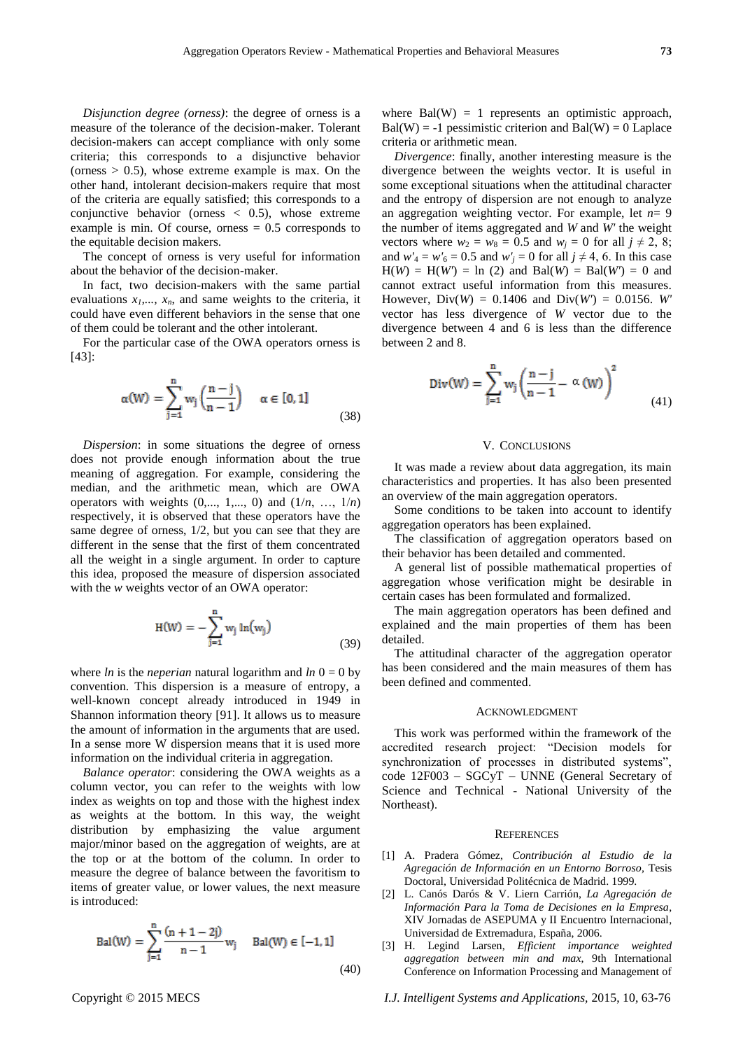*Disjunction degree (orness)*: the degree of orness is a measure of the tolerance of the decision-maker. Tolerant decision-makers can accept compliance with only some criteria; this corresponds to a disjunctive behavior (orness  $> 0.5$ ), whose extreme example is max. On the other hand, intolerant decision-makers require that most of the criteria are equally satisfied; this corresponds to a conjunctive behavior (orness  $\langle 0.5 \rangle$ , whose extreme example is min. Of course, orness  $= 0.5$  corresponds to the equitable decision makers.

The concept of orness is very useful for information about the behavior of the decision-maker.

In fact, two decision-makers with the same partial evaluations  $x_1$ ,  $x_n$ , and same weights to the criteria, it could have even different behaviors in the sense that one of them could be tolerant and the other intolerant.

For the particular case of the OWA operators orness is [43]:

$$
\alpha(W) = \sum_{j=1}^{n} w_j \left(\frac{n-j}{n-1}\right) \quad \alpha \in [0, 1]
$$
\n(38)

*Dispersion*: in some situations the degree of orness does not provide enough information about the true meaning of aggregation. For example, considering the median, and the arithmetic mean, which are OWA operators with weights  $(0, ..., 1, ..., 0)$  and  $(1/n, ..., 1/n)$ respectively, it is observed that these operators have the same degree of orness, 1/2, but you can see that they are different in the sense that the first of them concentrated all the weight in a single argument. In order to capture this idea, proposed the measure of dispersion associated with the *w* weights vector of an OWA operator:

$$
H(W) = -\sum_{j=1}^{n} w_j \ln(w_j)
$$
 (39)

where *ln* is the *neperian* natural logarithm and  $ln 0 = 0$  by convention. This dispersion is a measure of entropy, a well-known concept already introduced in 1949 in Shannon information theory [91]. It allows us to measure the amount of information in the arguments that are used. In a sense more W dispersion means that it is used more information on the individual criteria in aggregation.

*Balance operator*: considering the OWA weights as a column vector, you can refer to the weights with low index as weights on top and those with the highest index as weights at the bottom. In this way, the weight distribution by emphasizing the value argument major/minor based on the aggregation of weights, are at the top or at the bottom of the column. In order to measure the degree of balance between the favoritism to items of greater value, or lower values, the next measure is introduced:

$$
Bal(W) = \sum_{j=1}^{n} \frac{(n+1-2j)}{n-1} w_j \quad Bal(W) \in [-1, 1]
$$
\n(40)

where  $Bal(W) = 1$  represents an optimistic approach,  $Bal(W) = -1$  pessimistic criterion and  $Bal(W) = 0$  Laplace criteria or arithmetic mean.

*Divergence*: finally, another interesting measure is the divergence between the weights vector. It is useful in some exceptional situations when the attitudinal character and the entropy of dispersion are not enough to analyze an aggregation weighting vector. For example, let  $n=9$ the number of items aggregated and *W* and *W'* the weight vectors where  $w_2 = w_8 = 0.5$  and  $w_i = 0$  for all  $j \neq 2, 8$ ; and  $w'_4 = w'_6 = 0.5$  and  $w'_i = 0$  for all  $j \neq 4, 6$ . In this case  $H(W) = H(W') = \ln(2)$  and  $Bal(W) = Bal(W') = 0$  and cannot extract useful information from this measures. However,  $Div(W) = 0.1406$  and  $Div(W') = 0.0156$ . *W'* vector has less divergence of *W* vector due to the divergence between 4 and 6 is less than the difference between 2 and 8.

Div(W) = 
$$
\sum_{j=1}^{n} w_j \left( \frac{n-j}{n-1} - \alpha(W) \right)^2
$$
 (41)

#### V. CONCLUSIONS

It was made a review about data aggregation, its main characteristics and properties. It has also been presented an overview of the main aggregation operators.

Some conditions to be taken into account to identify aggregation operators has been explained.

The classification of aggregation operators based on their behavior has been detailed and commented.

A general list of possible mathematical properties of aggregation whose verification might be desirable in certain cases has been formulated and formalized.

The main aggregation operators has been defined and explained and the main properties of them has been detailed.

The attitudinal character of the aggregation operator has been considered and the main measures of them has been defined and commented.

#### ACKNOWLEDGMENT

This work was performed within the framework of the accredited research project: "Decision models for synchronization of processes in distributed systems", code 12F003 – SGCyT – UNNE (General Secretary of Science and Technical - National University of the Northeast).

#### **REFERENCES**

- [1] A. Pradera Gómez, *Contribución al Estudio de la Agregación de Información en un Entorno Borroso,* Tesis Doctoral, Universidad Politécnica de Madrid. 1999.
- [2] L. Canós Darós & V. Liern Carrión, *La Agregación de Información Para la Toma de Decisiones en la Empresa*, XIV Jornadas de ASEPUMA y II Encuentro Internacional, Universidad de Extremadura, España, 2006.
- [3] H. Legind Larsen, *Efficient importance weighted aggregation between min and max*, 9th International Conference on Information Processing and Management of

Copyright © 2015 MECS *I.J. Intelligent Systems and Applications,* 2015, 10, 63-76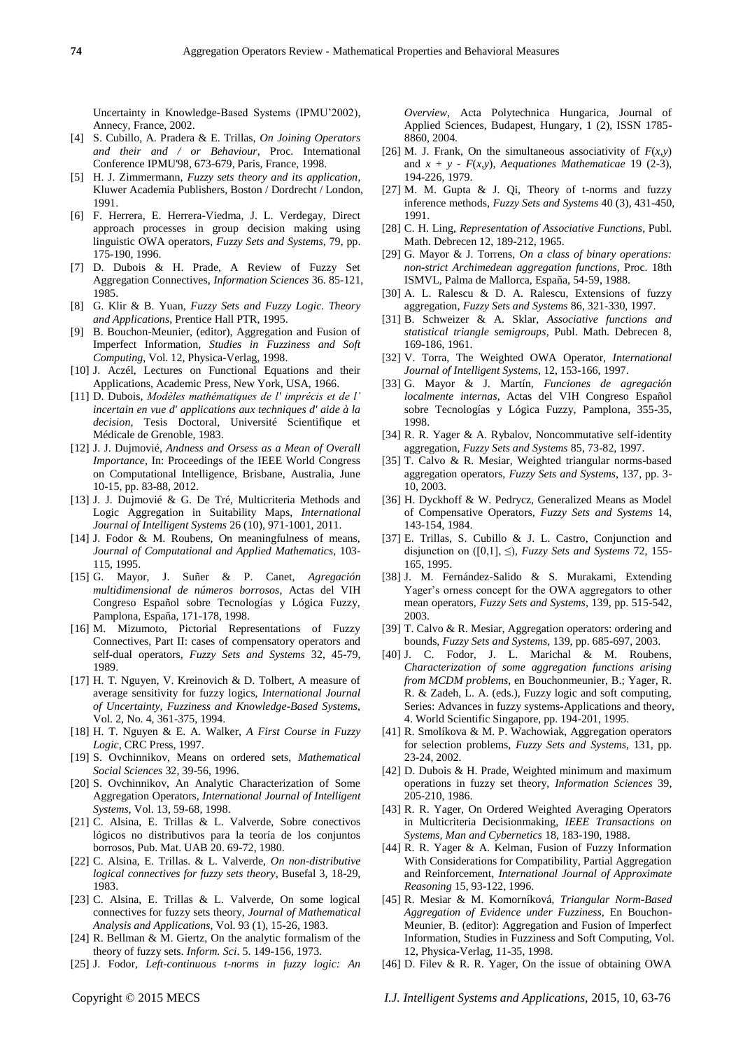Uncertainty in Knowledge-Based Systems (IPMU'2002), Annecy, France, 2002.

- [4] S. Cubillo, A. Pradera & E. Trillas, *On Joining Operators and their and / or Behaviour*, Proc. International Conference IPMU'98, 673-679, Paris, France, 1998.
- [5] H. J. Zimmermann, *Fuzzy sets theory and its application*, Kluwer Academia Publishers, Boston / Dordrecht / London, 1991.
- [6] F. Herrera, E. Herrera-Viedma, J. L. Verdegay, Direct approach processes in group decision making using linguistic OWA operators, *Fuzzy Sets and Systems*, 79, pp. 175-190, 1996.
- [7] D. Dubois & H. Prade, A Review of Fuzzy Set Aggregation Connectives, *Information Sciences* 36. 85-121, 1985.
- [8] G. Klir & B. Yuan, *Fuzzy Sets and Fuzzy Logic. Theory and Applications*, Prentice Hall PTR, 1995.
- [9] B. Bouchon-Meunier, (editor), Aggregation and Fusion of Imperfect Information, *Studies in Fuzziness and Soft Computing*, Vol. 12, Physica-Verlag, 1998.
- [10] J. Aczél, Lectures on Functional Equations and their Applications, Academic Press, New York, USA, 1966.
- [11] D. Dubois, *Modèles mathématiques de l' imprécis et de l' incertain en vue d' applications aux techniques d' aide à la decision*, Tesis Doctoral, Université Scientifique et Médicale de Grenoble, 1983.
- [12] J. J. Dujmovié, *Andness and Orsess as a Mean of Overall Importance*, In: Proceedings of the IEEE World Congress on Computational Intelligence, Brisbane, Australia, June 10-15, pp. 83-88, 2012.
- [13] J. J. Dujmovié & G. De Tré, Multicriteria Methods and Logic Aggregation in Suitability Maps, *International Journal of Intelligent Systems* 26 (10), 971-1001, 2011.
- [14] J. Fodor & M. Roubens, On meaningfulness of means, *Journal of Computational and Applied Mathematics,* 103- 115, 1995.
- [15] G. Mayor, J. Suñer & P. Canet, *Agregación multidimensional de números borrosos*, Actas del VIH Congreso Español sobre Tecnologías y Lógica Fuzzy, Pamplona, España, 171-178, 1998.
- [16] M. Mizumoto, Pictorial Representations of Fuzzy Connectives, Part II: cases of compensatory operators and self-dual operators, *Fuzzy Sets and Systems* 32, 45-79, 1989.
- [17] H. T. Nguyen, V. Kreinovich & D. Tolbert, A measure of average sensitivity for fuzzy logics, *International Journal of Uncertainty, Fuzziness and Knowledge-Based Systems*, Vol. 2, No. 4, 361-375, 1994.
- [18] H. T. Nguyen & E. A. Walker, *A First Course in Fuzzy Logic*, CRC Press, 1997.
- [19] S. Ovchinnikov, Means on ordered sets, *Mathematical Social Sciences* 32, 39-56, 1996.
- [20] S. Ovchinnikov, An Analytic Characterization of Some Aggregation Operators, *International Journal of Intelligent Systems*, Vol. 13, 59-68, 1998.
- [21] C. Alsina, E. Trillas & L. Valverde, Sobre conectivos lógicos no distributivos para la teoría de los conjuntos borrosos, Pub. Mat. UAB 20. 69-72, 1980.
- [22] C. Alsina, E. Trillas. & L. Valverde, *On non-distributive logical connectives for fuzzy sets theory*, Busefal 3, 18-29, 1983.
- [23] C. Alsina, E. Trillas & L. Valverde, On some logical connectives for fuzzy sets theory, *Journal of Mathematical Analysis and Applications*, Vol. 93 (1), 15-26, 1983.
- [24] R. Bellman & M. Giertz, On the analytic formalism of the theory of fuzzy sets. *Inform. Sci*. 5. 149-156, 1973.
- [25] J. Fodor, *Left-continuous t-norms in fuzzy logic: An*

*Overview*, Acta Polytechnica Hungarica, Journal of Applied Sciences, Budapest, Hungary, 1 (2), ISSN 1785- 8860, 2004.

- [26] M. J. Frank, On the simultaneous associativity of  $F(x, y)$ and  $x + y - F(x, y)$ , *Aequationes Mathematicae* 19 (2-3), 194-226, 1979.
- [27] M. M. Gupta & J. Qi, Theory of t-norms and fuzzy inference methods, *Fuzzy Sets and Systems* 40 (3), 431-450, 1991.
- [28] C. H. Ling, *Representation of Associative Functions*, Publ. Math. Debrecen 12, 189-212, 1965.
- [29] G. Mayor & J. Torrens, *On a class of binary operations: non-strict Archimedean aggregation functions,* Proc. 18th ISMVL, Palma de Mallorca, España, 54-59, 1988.
- [30] A. L. Ralescu & D. A. Ralescu, Extensions of fuzzy aggregation, *Fuzzy Sets and Systems* 86, 321-330, 1997.
- [31] B. Schweizer & A. Sklar, *Associative functions and statistical triangle semigroups*, Publ. Math. Debrecen 8, 169-186, 1961.
- [32] V. Torra, The Weighted OWA Operator, *International Journal of Intelligent Systems*, 12, 153-166, 1997.
- [33] G. Mayor & J. Martín, *Funciones de agregación localmente internas*, Actas del VIH Congreso Español sobre Tecnologías y Lógica Fuzzy, Pamplona, 355-35, 1998.
- [34] R. R. Yager & A. Rybalov, Noncommutative self-identity aggregation, *Fuzzy Sets and Systems* 85, 73-82, 1997.
- [35] T. Calvo & R. Mesiar, Weighted triangular norms-based aggregation operators, *Fuzzy Sets and Systems*, 137, pp. 3- 10, 2003.
- [36] H. Dyckhoff & W. Pedrycz, Generalized Means as Model of Compensative Operators, *Fuzzy Sets and Systems* 14, 143-154, 1984.
- [37] E. Trillas, S. Cubillo & J. L. Castro, Conjunction and disjunction on ([0,1], ≤), *Fuzzy Sets and Systems* 72, 155- 165, 1995.
- [38] J. M. Fernández-Salido & S. Murakami, Extending Yager's orness concept for the OWA aggregators to other mean operators, *Fuzzy Sets and Systems*, 139, pp. 515-542, 2003.
- [39] T. Calvo & R. Mesiar, Aggregation operators: ordering and bounds, *Fuzzy Sets and Systems*, 139, pp. 685-697, 2003.
- [40] J. C. Fodor, J. L. Marichal & M. Roubens, *Characterization of some aggregation functions arising from MCDM problems*, en Bouchonmeunier, B.; Yager, R. R. & Zadeh, L. A. (eds.), Fuzzy logic and soft computing, Series: Advances in fuzzy systems-Applications and theory, 4. World Scientific Singapore, pp. 194-201, 1995.
- [41] R. Smol kova & M. P. Wachowiak, Aggregation operators for selection problems, *Fuzzy Sets and Systems*, 131, pp. 23-24, 2002.
- [42] D. Dubois & H. Prade, Weighted minimum and maximum operations in fuzzy set theory, *Information Sciences* 39, 205-210, 1986.
- [43] R. R. Yager, On Ordered Weighted Averaging Operators in Multicriteria Decisionmaking, *IEEE Transactions on Systems, Man and Cybernetics* 18, 183-190, 1988.
- [44] R. R. Yager & A. Kelman, Fusion of Fuzzy Information With Considerations for Compatibility, Partial Aggregation and Reinforcement, *International Journal of Approximate Reasoning* 15, 93-122, 1996.
- [45] R. Mesiar & M. Komorníková, *Triangular Norm-Based Aggregation of Evidence under Fuzziness,* En Bouchon-Meunier, B. (editor): Aggregation and Fusion of Imperfect Information, Studies in Fuzziness and Soft Computing, Vol. 12, Physica-Verlag, 11-35, 1998.
- [46] D. Filev & R. R. Yager, On the issue of obtaining OWA

Copyright © 2015 MECS *I.J. Intelligent Systems and Applications,* 2015, 10, 63-76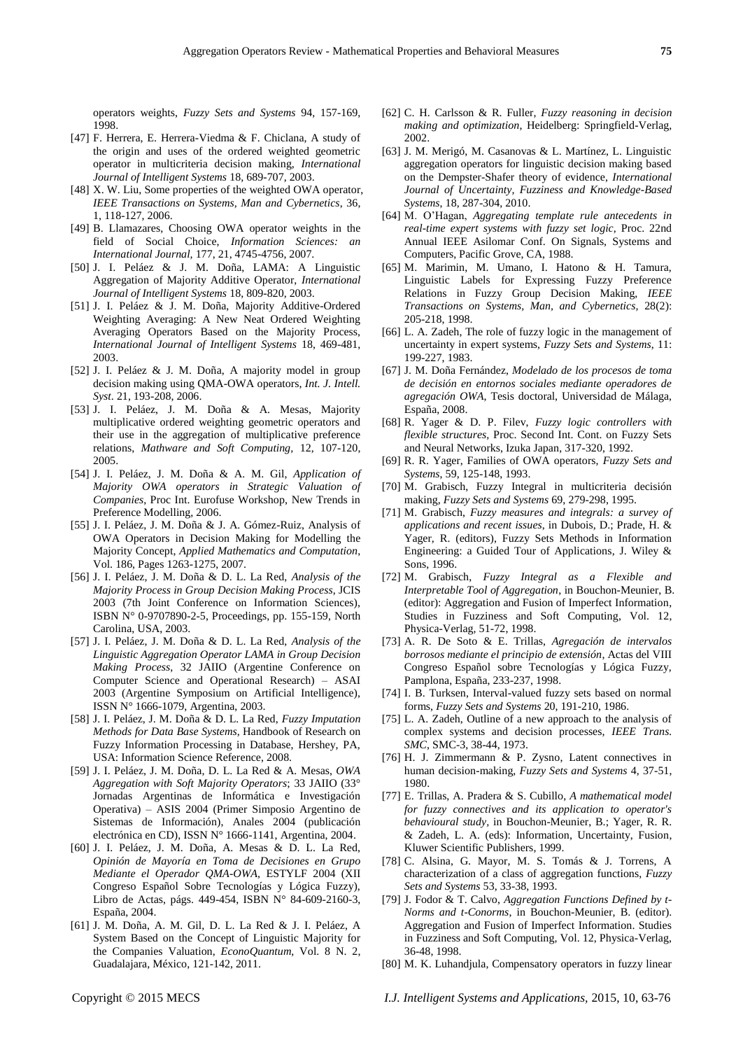operators weights, *Fuzzy Sets and Systems* 94, 157-169, 1998.

- [47] F. Herrera, E. Herrera-Viedma & F. Chiclana, A study of the origin and uses of the ordered weighted geometric operator in multicriteria decision making, *International Journal of Intelligent Systems* 18, 689-707, 2003.
- [48] X. W. Liu, Some properties of the weighted OWA operator, *IEEE Transactions on Systems, Man and Cybernetics*, 36, 1, 118-127, 2006.
- [49] B. Llamazares, Choosing OWA operator weights in the field of Social Choice, *Information Sciences: an International Journal,* 177, 21, 4745-4756, 2007.
- [50] J. I. Peláez & J. M. Doña, LAMA: A Linguistic Aggregation of Majority Additive Operator, *International Journal of Intelligent Systems* 18, 809-820, 2003.
- [51] J. I. Peláez & J. M. Doña, Majority Additive-Ordered Weighting Averaging: A New Neat Ordered Weighting Averaging Operators Based on the Majority Process, *International Journal of Intelligent Systems* 18, 469-481, 2003.
- [52] J. I. Peláez & J. M. Doña, A majority model in group decision making using QMA-OWA operators, *Int. J. Intell. Syst*. 21, 193-208, 2006.
- [53] J. I. Peláez, J. M. Doña & A. Mesas, Majority multiplicative ordered weighting geometric operators and their use in the aggregation of multiplicative preference relations, *Mathware and Soft Computing,* 12, 107-120, 2005.
- [54] J. I. Peláez, J. M. Doña & A. M. Gil, *Application of Majority OWA operators in Strategic Valuation of Companies*, Proc Int. Eurofuse Workshop, New Trends in Preference Modelling, 2006.
- [55] J. I. Peláez, J. M. Doña & J. A. Gómez-Ruiz, Analysis of OWA Operators in Decision Making for Modelling the Majority Concept, *Applied Mathematics and Computation*, Vol. 186, Pages 1263-1275, 2007.
- [56] J. I. Peláez, J. M. Doña & D. L. La Red, *Analysis of the Majority Process in Group Decision Making Process*, JCIS 2003 (7th Joint Conference on Information Sciences), ISBN N° 0-9707890-2-5, Proceedings, pp. 155-159, North Carolina, USA, 2003.
- [57] J. I. Peláez, J. M. Doña & D. L. La Red, *Analysis of the Linguistic Aggregation Operator LAMA in Group Decision Making Process*, 32 JAIIO (Argentine Conference on Computer Science and Operational Research) – ASAI 2003 (Argentine Symposium on Artificial Intelligence), ISSN N° 1666-1079, Argentina, 2003.
- [58] J. I. Peláez, J. M. Doña & D. L. La Red, *Fuzzy Imputation Methods for Data Base Systems*, Handbook of Research on Fuzzy Information Processing in Database, Hershey, PA, USA: Information Science Reference, 2008.
- [59] J. I. Peláez, J. M. Doña, D. L. La Red & A. Mesas, *OWA Aggregation with Soft Majority Operators*; 33 JAIIO (33° Jornadas Argentinas de Informática e Investigación Operativa) – ASIS 2004 (Primer Simposio Argentino de Sistemas de Información), Anales 2004 (publicación electrónica en CD), ISSN N° 1666-1141, Argentina, 2004.
- [60] J. I. Peláez, J. M. Doña, A. Mesas & D. L. La Red, *Opinión de Mayoría en Toma de Decisiones en Grupo Mediante el Operador QMA-OWA*, ESTYLF 2004 (XII Congreso Español Sobre Tecnologías y Lógica Fuzzy), Libro de Actas, págs. 449-454, ISBN N° 84-609-2160-3, España, 2004.
- [61] J. M. Doña, A. M. Gil, D. L. La Red & J. I. Peláez, A System Based on the Concept of Linguistic Majority for the Companies Valuation, *EconoQuantum*, Vol. 8 N. 2, Guadalajara, México, 121-142, 2011.
- [62] C. H. Carlsson & R. Fuller, *Fuzzy reasoning in decision making and optimization*, Heidelberg: Springfield-Verlag, 2002.
- [63] J. M. Merigó, M. Casanovas & L. Mart nez, L. Linguistic aggregation operators for linguistic decision making based on the Dempster-Shafer theory of evidence, *International Journal of Uncertainty, Fuzziness and Knowledge-Based Systems*, 18, 287-304, 2010.
- [64] M. O'Hagan, *Aggregating template rule antecedents in real-time expert systems with fuzzy set logic*, Proc. 22nd Annual IEEE Asilomar Conf. On Signals, Systems and Computers, Pacific Grove, CA, 1988.
- [65] M. Marimin, M. Umano, I. Hatono & H. Tamura, Linguistic Labels for Expressing Fuzzy Preference Relations in Fuzzy Group Decision Making, *IEEE Transactions on Systems, Man, and Cybernetics,* 28(2): 205-218, 1998.
- [66] L. A. Zadeh, The role of fuzzy logic in the management of uncertainty in expert systems, *Fuzzy Sets and Systems*, 11: 199-227, 1983.
- [67] J. M. Doña Fernández, *Modelado de los procesos de toma de decisión en entornos sociales mediante operadores de agregación OWA*, Tesis doctoral, Universidad de Málaga, España, 2008.
- [68] R. Yager & D. P. Filev, *Fuzzy logic controllers with flexible structures,* Proc. Second Int. Cont. on Fuzzy Sets and Neural Networks, Izuka Japan, 317-320, 1992.
- [69] R. R. Yager, Families of OWA operators, *Fuzzy Sets and Systems*, 59, 125-148, 1993.
- [70] M. Grabisch, Fuzzy Integral in multicriteria decisión making, *Fuzzy Sets and Systems* 69, 279-298, 1995.
- [71] M. Grabisch, *Fuzzy measures and integrals: a survey of applications and recent issues*, in Dubois, D.; Prade, H. & Yager, R. (editors), Fuzzy Sets Methods in Information Engineering: a Guided Tour of Applications, J. Wiley & Sons, 1996.
- [72] M. Grabisch, *Fuzzy Integral as a Flexible and Interpretable Tool of Aggregation*, in Bouchon-Meunier, B. (editor): Aggregation and Fusion of Imperfect Information, Studies in Fuzziness and Soft Computing, Vol. 12, Physica-Verlag, 51-72, 1998.
- [73] A. R. De Soto & E. Trillas, *Agregación de intervalos borrosos mediante el principio de extensión*, Actas del VIII Congreso Español sobre Tecnologías y Lógica Fuzzy, Pamplona, España, 233-237, 1998.
- [74] I. B. Turksen, Interval-valued fuzzy sets based on normal forms, *Fuzzy Sets and Systems* 20, 191-210, 1986.
- [75] L. A. Zadeh, Outline of a new approach to the analysis of complex systems and decision processes, *IEEE Trans. SMC*, SMC-3, 38-44, 1973.
- [76] H. J. Zimmermann & P. Zysno, Latent connectives in human decision-making, *Fuzzy Sets and Systems* 4, 37-51, 1980.
- [77] E. Trillas, A. Pradera & S. Cubillo, *A mathematical model for fuzzy connectives and its application to operator's behavioural study,* in Bouchon-Meunier, B.; Yager, R. R. & Zadeh, L. A. (eds): Information, Uncertainty, Fusion, Kluwer Scientific Publishers, 1999.
- [78] C. Alsina, G. Mayor, M. S. Tomás & J. Torrens, A characterization of a class of aggregation functions, *Fuzzy Sets and Systems* 53, 33-38, 1993.
- [79] J. Fodor & T. Calvo, *Aggregation Functions Defined by t-Norms and t-Conorms*, in Bouchon-Meunier, B. (editor). Aggregation and Fusion of Imperfect Information. Studies in Fuzziness and Soft Computing, Vol. 12, Physica-Verlag, 36-48, 1998.
- [80] M. K. Luhandjula, Compensatory operators in fuzzy linear